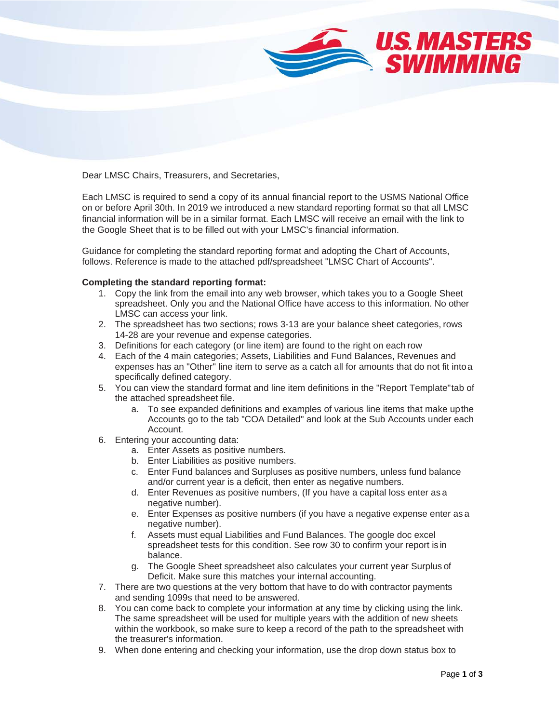

Dear LMSC Chairs, Treasurers, and Secretaries,

Each LMSC is required to send a copy of its annual financial report to the USMS National Office on or before April 30th. In 2019 we introduced a new standard reporting format so that all LMSC financial information will be in a similar format. Each LMSC will receive an email with the link to the Google Sheet that is to be filled out with your LMSC's financial information.

Guidance for completing the standard reporting format and adopting the Chart of Accounts, follows. Reference is made to the attached pdf/spreadsheet "LMSC Chart of Accounts".

## **Completing the standard reporting format:**

- 1. Copy the link from the email into any web browser, which takes you to a Google Sheet spreadsheet. Only you and the National Office have access to this information. No other LMSC can access your link.
- 2. The spreadsheet has two sections; rows 3-13 are your balance sheet categories, rows 14-28 are your revenue and expense categories.
- 3. Definitions for each category (or line item) are found to the right on each row
- 4. Each of the 4 main categories; Assets, Liabilities and Fund Balances, Revenues and expenses has an "Other" line item to serve as a catch all for amounts that do not fit intoa specifically defined category.
- 5. You can view the standard format and line item definitions in the "Report Template"tab of the attached spreadsheet file.
	- a. To see expanded definitions and examples of various line items that make upthe Accounts go to the tab "COA Detailed" and look at the Sub Accounts under each Account.
- 6. Entering your accounting data:
	- a. Enter Assets as positive numbers.
	- b. Enter Liabilities as positive numbers.
	- c. Enter Fund balances and Surpluses as positive numbers, unless fund balance and/or current year is a deficit, then enter as negative numbers.
	- d. Enter Revenues as positive numbers, (If you have a capital loss enter as a negative number).
	- e. Enter Expenses as positive numbers (if you have a negative expense enter as a negative number).
	- f. Assets must equal Liabilities and Fund Balances. The google doc excel spreadsheet tests for this condition. See row 30 to confirm your report is in balance.
	- g. The Google Sheet spreadsheet also calculates your current year Surplus of Deficit. Make sure this matches your internal accounting.
- 7. There are two questions at the very bottom that have to do with contractor payments and sending 1099s that need to be answered.
- 8. You can come back to complete your information at any time by clicking using the link. The same spreadsheet will be used for multiple years with the addition of new sheets within the workbook, so make sure to keep a record of the path to the spreadsheet with the treasurer's information.
- 9. When done entering and checking your information, use the drop down status box to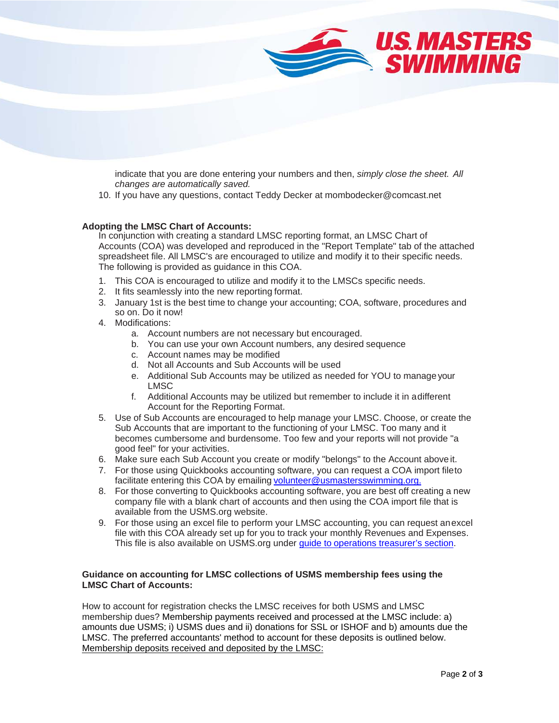

indicate that you are done entering your numbers and then, *simply close the sheet. All changes are automatically saved.*

10. If you have any questions, contact Teddy Decker at mombodecker@comcast.net

## 9. If you have any questions, contact *Teddy Decker at [mombodecker@comcast.net](mailto:mombodecker@comcast.net)* **Adopting the LMSC Chart of Accounts:**

In conjunction with creating a standard LMSC reporting format, an LMSC Chart of Accounts (COA) was developed and reproduced in the "Report Template" tab of the attached spreadsheet file. All LMSC's are encouraged to utilize and modify it to their specific needs. The following is provided as guidance in this COA.

- 1. This COA is encouraged to utilize and modify it to the LMSCs specific needs.
- 2. It fits seamlessly into the new reporting format.
- 3. January 1st is the best time to change your accounting; COA, software, procedures and so on. Do it now!
- 4. Modifications:
	- a. Account numbers are not necessary but encouraged.
	- b. You can use your own Account numbers, any desired sequence
	- c. Account names may be modified
	- d. Not all Accounts and Sub Accounts will be used
	- e. Additional Sub Accounts may be utilized as needed for YOU to manage your LMSC
	- f. Additional Accounts may be utilized but remember to include it in adifferent Account for the Reporting Format.
- 5. Use of Sub Accounts are encouraged to help manage your LMSC. Choose, or create the Sub Accounts that are important to the functioning of your LMSC. Too many and it becomes cumbersome and burdensome. Too few and your reports will not provide "a good feel" for your activities.
- 6. Make sure each Sub Account you create or modify "belongs" to the Account above it.
- 7. For those using Quickbooks accounting software, you can request a COA import fileto facilitate entering this COA by emailing [volunteer@usmastersswimming.org.](mailto:volunteer@usmastersswimming.org.)
- 8. For those converting to Quickbooks accounting software, you are best off creating a new company file with a blank chart of accounts and then using the COA import file that is available from the USMS.org website.
- 9. For those using an excel file to perform your LMSC accounting, you can request anexcel file with this COA already set up for you to track your monthly Revenues and Expenses. This file is also available on USMS org under quide to operations [treasurer's section.](https://www.usms.org/gto/gto_treasurer)

## **Guidance on accounting for LMSC collections of USMS membership fees using the LMSC Chart of Accounts:**

How to account for registration checks the LMSC receives for both USMS and LMSC membership dues? Membership payments received and processed at the LMSC include: a) amounts due USMS; i) USMS dues and ii) donations for SSL or ISHOF and b) amounts due the LMSC. The preferred accountants' method to account for these deposits is outlined below. Membership deposits received and deposited by the LMSC: